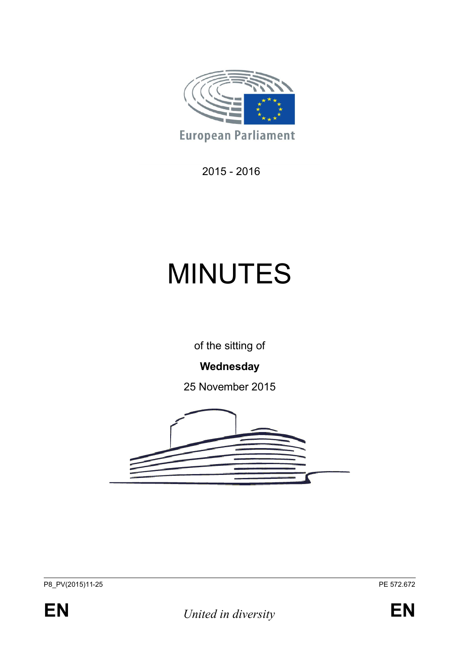

2015 - 2016

# MINUTES

of the sitting of

# **Wednesday**

25 November 2015



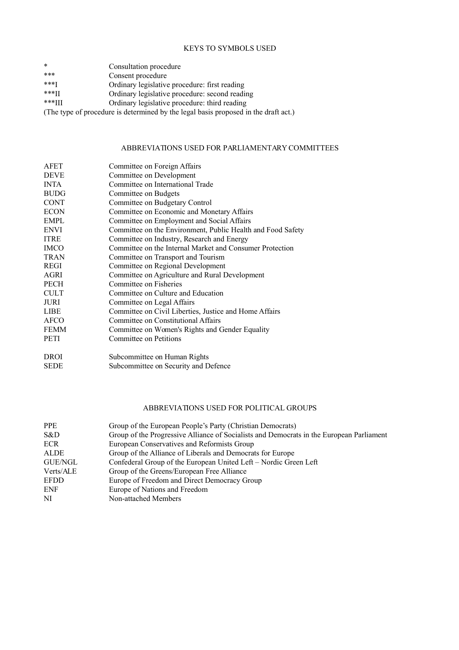#### KEYS TO SYMBOLS USED

| $\ast$   | Consultation procedure                         |  |
|----------|------------------------------------------------|--|
| ***      | Consent procedure                              |  |
| ***T     | Ordinary legislative procedure: first reading  |  |
| $***$ II | Ordinary legislative procedure: second reading |  |
| $***III$ | Ordinary legislative procedure: third reading  |  |

(The type of procedure is determined by the legal basis proposed in the draft act.)

#### ABBREVIATIONS USED FOR PARLIAMENTARY COMMITTEES

| <b>AFET</b> | Committee on Foreign Affairs                                |  |  |
|-------------|-------------------------------------------------------------|--|--|
| <b>DEVE</b> | Committee on Development                                    |  |  |
| <b>INTA</b> | Committee on International Trade                            |  |  |
| <b>BUDG</b> | Committee on Budgets                                        |  |  |
| <b>CONT</b> | Committee on Budgetary Control                              |  |  |
| <b>ECON</b> | Committee on Economic and Monetary Affairs                  |  |  |
| <b>EMPL</b> | Committee on Employment and Social Affairs                  |  |  |
| <b>ENVI</b> | Committee on the Environment, Public Health and Food Safety |  |  |
| <b>ITRE</b> | Committee on Industry, Research and Energy                  |  |  |
| <b>IMCO</b> | Committee on the Internal Market and Consumer Protection    |  |  |
| <b>TRAN</b> | Committee on Transport and Tourism                          |  |  |
| REGI        | Committee on Regional Development                           |  |  |
| AGRI        | Committee on Agriculture and Rural Development              |  |  |
| <b>PECH</b> | Committee on Fisheries                                      |  |  |
| <b>CULT</b> | Committee on Culture and Education                          |  |  |
| JURI        | Committee on Legal Affairs                                  |  |  |
| <b>LIBE</b> | Committee on Civil Liberties, Justice and Home Affairs      |  |  |
| <b>AFCO</b> | Committee on Constitutional Affairs                         |  |  |
| <b>FEMM</b> | Committee on Women's Rights and Gender Equality             |  |  |
| <b>PETI</b> | Committee on Petitions                                      |  |  |
| <b>DROI</b> | Subcommittee on Human Rights                                |  |  |

| SEDE | Subcommittee on Security and Defence |
|------|--------------------------------------|
|      |                                      |

#### ABBREVIATIONS USED FOR POLITICAL GROUPS

| <b>PPE</b>  | Group of the European People's Party (Christian Democrats)                               |  |
|-------------|------------------------------------------------------------------------------------------|--|
| S&D         | Group of the Progressive Alliance of Socialists and Democrats in the European Parliament |  |
| <b>ECR</b>  | European Conservatives and Reformists Group                                              |  |
| ALDE        | Group of the Alliance of Liberals and Democrats for Europe                               |  |
| GUE/NGL     | Confederal Group of the European United Left – Nordic Green Left                         |  |
| Verts/ALE   | Group of the Greens/European Free Alliance                                               |  |
| <b>EFDD</b> | Europe of Freedom and Direct Democracy Group                                             |  |
| ENF         | Europe of Nations and Freedom                                                            |  |
| NI          | Non-attached Members                                                                     |  |
|             |                                                                                          |  |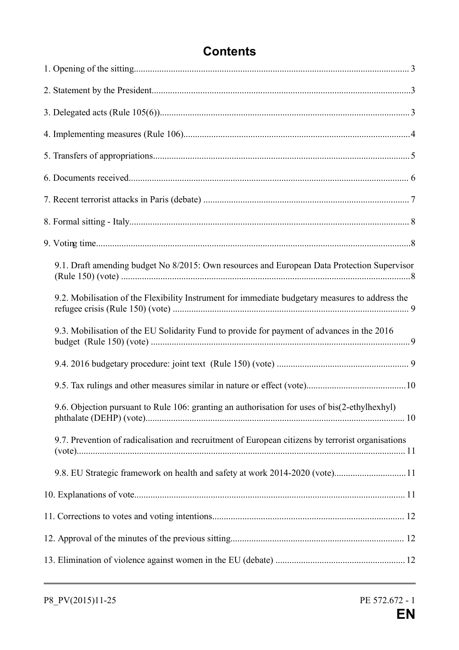# **Contents**

| 9.1. Draft amending budget No 8/2015: Own resources and European Data Protection Supervisor       |  |
|---------------------------------------------------------------------------------------------------|--|
| 9.2. Mobilisation of the Flexibility Instrument for immediate budgetary measures to address the   |  |
| 9.3. Mobilisation of the EU Solidarity Fund to provide for payment of advances in the 2016        |  |
|                                                                                                   |  |
|                                                                                                   |  |
| 9.6. Objection pursuant to Rule 106: granting an authorisation for uses of bis(2-ethylhexhyl)     |  |
| 9.7. Prevention of radicalisation and recruitment of European citizens by terrorist organisations |  |
| 9.8. EU Strategic framework on health and safety at work 2014-2020 (vote)11                       |  |
|                                                                                                   |  |
|                                                                                                   |  |
|                                                                                                   |  |
|                                                                                                   |  |
|                                                                                                   |  |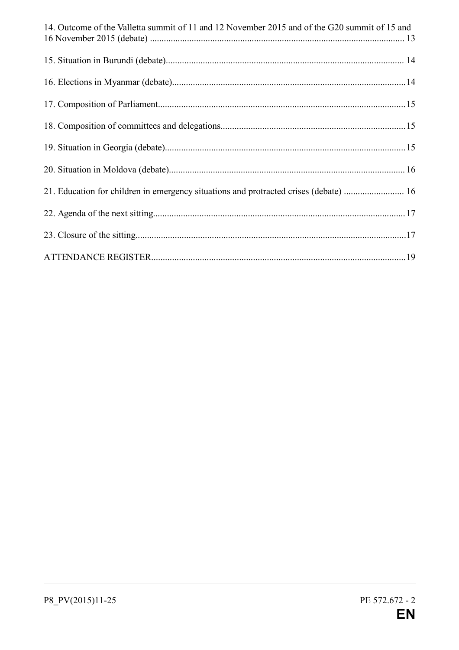| 14. Outcome of the Valletta summit of 11 and 12 November 2015 and of the G20 summit of 15 and |  |
|-----------------------------------------------------------------------------------------------|--|
|                                                                                               |  |
|                                                                                               |  |
|                                                                                               |  |
|                                                                                               |  |
|                                                                                               |  |
|                                                                                               |  |
| 21. Education for children in emergency situations and protracted crises (debate)  16         |  |
|                                                                                               |  |
|                                                                                               |  |
|                                                                                               |  |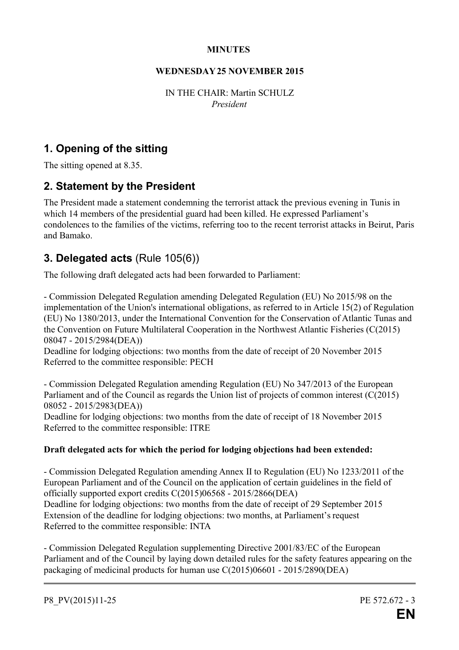#### **MINUTES**

#### **WEDNESDAY 25 NOVEMBER 2015**

IN THE CHAIR: Martin SCHULZ *President*

## **1. Opening of the sitting**

The sitting opened at 8.35.

## **2. Statement by the President**

The President made a statement condemning the terrorist attack the previous evening in Tunis in which 14 members of the presidential guard had been killed. He expressed Parliament's condolences to the families of the victims, referring too to the recent terrorist attacks in Beirut, Paris and Bamako.

## **3. Delegated acts** (Rule 105(6))

The following draft delegated acts had been forwarded to Parliament:

- Commission Delegated Regulation amending Delegated Regulation (EU) No 2015/98 on the implementation of the Union's international obligations, as referred to in Article 15(2) of Regulation (EU) No 1380/2013, under the International Convention for the Conservation of Atlantic Tunas and the Convention on Future Multilateral Cooperation in the Northwest Atlantic Fisheries (C(2015) 08047 - 2015/2984(DEA))

Deadline for lodging objections: two months from the date of receipt of 20 November 2015 Referred to the committee responsible: PECH

- Commission Delegated Regulation amending Regulation (EU) No 347/2013 of the European Parliament and of the Council as regards the Union list of projects of common interest (C(2015) 08052 - 2015/2983(DEA))

Deadline for lodging objections: two months from the date of receipt of 18 November 2015 Referred to the committee responsible: ITRE

## **Draft delegated acts for which the period for lodging objections had been extended:**

- Commission Delegated Regulation amending Annex II to Regulation (EU) No 1233/2011 of the European Parliament and of the Council on the application of certain guidelines in the field of officially supported export credits C(2015)06568 - 2015/2866(DEA) Deadline for lodging objections: two months from the date of receipt of 29 September 2015 Extension of the deadline for lodging objections: two months, at Parliament's request Referred to the committee responsible: INTA

- Commission Delegated Regulation supplementing Directive 2001/83/EC of the European Parliament and of the Council by laying down detailed rules for the safety features appearing on the packaging of medicinal products for human use C(2015)06601 - 2015/2890(DEA)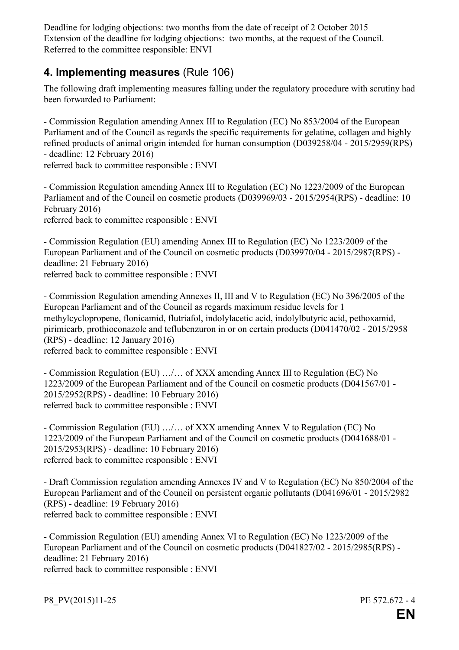Deadline for lodging objections: two months from the date of receipt of 2 October 2015 Extension of the deadline for lodging objections: two months, at the request of the Council. Referred to the committee responsible: ENVI

## **4. Implementing measures** (Rule 106)

The following draft implementing measures falling under the regulatory procedure with scrutiny had been forwarded to Parliament:

- Commission Regulation amending Annex III to Regulation (EC) No 853/2004 of the European Parliament and of the Council as regards the specific requirements for gelatine, collagen and highly refined products of animal origin intended for human consumption (D039258/04 - 2015/2959(RPS) - deadline: 12 February 2016)

referred back to committee responsible : ENVI

- Commission Regulation amending Annex III to Regulation (EC) No 1223/2009 of the European Parliament and of the Council on cosmetic products (D039969/03 - 2015/2954(RPS) - deadline: 10 February 2016) referred back to committee responsible : ENVI

- Commission Regulation (EU) amending Annex III to Regulation (EC) No 1223/2009 of the European Parliament and of the Council on cosmetic products (D039970/04 - 2015/2987(RPS) deadline: 21 February 2016) referred back to committee responsible : ENVI

- Commission Regulation amending Annexes II, III and V to Regulation (EC) No 396/2005 of the European Parliament and of the Council as regards maximum residue levels for 1 methylcyclopropene, flonicamid, flutriafol, indolylacetic acid, indolylbutyric acid, pethoxamid, pirimicarb, prothioconazole and teflubenzuron in or on certain products (D041470/02 - 2015/2958 (RPS) - deadline: 12 January 2016) referred back to committee responsible : ENVI

- Commission Regulation (EU) …/… of XXX amending Annex III to Regulation (EC) No 1223/2009 of the European Parliament and of the Council on cosmetic products (D041567/01 - 2015/2952(RPS) - deadline: 10 February 2016) referred back to committee responsible : ENVI

- Commission Regulation (EU) …/… of XXX amending Annex V to Regulation (EC) No 1223/2009 of the European Parliament and of the Council on cosmetic products (D041688/01 - 2015/2953(RPS) - deadline: 10 February 2016) referred back to committee responsible : ENVI

- Draft Commission regulation amending Annexes IV and V to Regulation (EC) No 850/2004 of the European Parliament and of the Council on persistent organic pollutants (D041696/01 - 2015/2982 (RPS) - deadline: 19 February 2016) referred back to committee responsible : ENVI

- Commission Regulation (EU) amending Annex VI to Regulation (EC) No 1223/2009 of the European Parliament and of the Council on cosmetic products (D041827/02 - 2015/2985(RPS) deadline: 21 February 2016) referred back to committee responsible : ENVI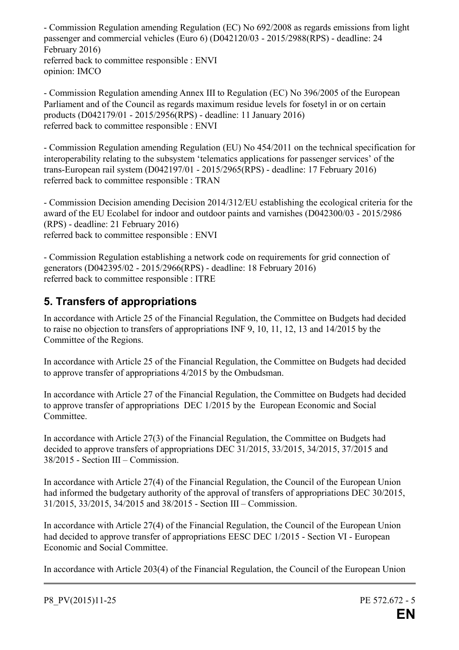- Commission Regulation amending Regulation (EC) No 692/2008 as regards emissions from light passenger and commercial vehicles (Euro 6) (D042120/03 - 2015/2988(RPS) - deadline: 24 February 2016) referred back to committee responsible : ENVI opinion: IMCO

- Commission Regulation amending Annex III to Regulation (EC) No 396/2005 of the European Parliament and of the Council as regards maximum residue levels for fosetyl in or on certain products (D042179/01 - 2015/2956(RPS) - deadline: 11 January 2016) referred back to committee responsible : ENVI

- Commission Regulation amending Regulation (EU) No 454/2011 on the technical specification for interoperability relating to the subsystem 'telematics applications for passenger services' of the trans-European rail system (D042197/01 - 2015/2965(RPS) - deadline: 17 February 2016) referred back to committee responsible : TRAN

- Commission Decision amending Decision 2014/312/EU establishing the ecological criteria for the award of the EU Ecolabel for indoor and outdoor paints and varnishes (D042300/03 - 2015/2986 (RPS) - deadline: 21 February 2016) referred back to committee responsible : ENVI

- Commission Regulation establishing a network code on requirements for grid connection of generators (D042395/02 - 2015/2966(RPS) - deadline: 18 February 2016) referred back to committee responsible : ITRE

# **5. Transfers of appropriations**

In accordance with Article 25 of the Financial Regulation, the Committee on Budgets had decided to raise no objection to transfers of appropriations INF 9, 10, 11, 12, 13 and 14/2015 by the Committee of the Regions.

In accordance with Article 25 of the Financial Regulation, the Committee on Budgets had decided to approve transfer of appropriations 4/2015 by the Ombudsman.

In accordance with Article 27 of the Financial Regulation, the Committee on Budgets had decided to approve transfer of appropriations DEC 1/2015 by the European Economic and Social Committee.

In accordance with Article 27(3) of the Financial Regulation, the Committee on Budgets had decided to approve transfers of appropriations DEC 31/2015, 33/2015, 34/2015, 37/2015 and 38/2015 - Section III – Commission.

In accordance with Article 27(4) of the Financial Regulation, the Council of the European Union had informed the budgetary authority of the approval of transfers of appropriations DEC 30/2015, 31/2015, 33/2015, 34/2015 and 38/2015 - Section III – Commission.

In accordance with Article 27(4) of the Financial Regulation, the Council of the European Union had decided to approve transfer of appropriations EESC DEC 1/2015 - Section VI - European Economic and Social Committee.

In accordance with Article 203(4) of the Financial Regulation, the Council of the European Union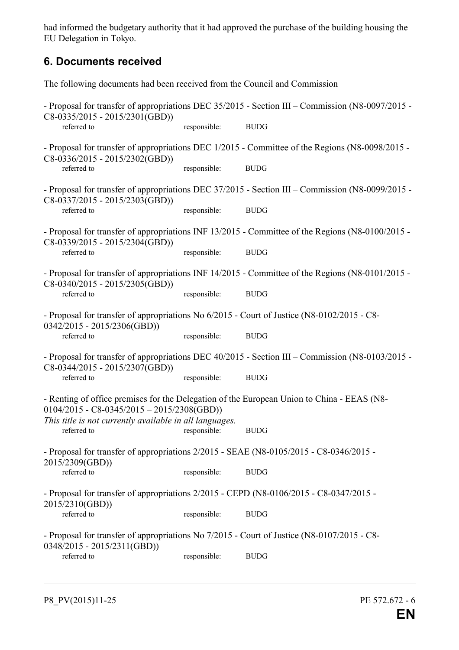had informed the budgetary authority that it had approved the purchase of the building housing the EU Delegation in Tokyo.

## **6. Documents received**

The following documents had been received from the Council and Commission

- Proposal for transfer of appropriations DEC 35/2015 - Section III – Commission (N8-0097/2015 - C8-0335/2015 - 2015/2301(GBD)) referred to responsible: BUDG - Proposal for transfer of appropriations DEC 1/2015 - Committee of the Regions (N8-0098/2015 - C8-0336/2015 - 2015/2302(GBD)) referred to responsible: BUDG - Proposal for transfer of appropriations DEC 37/2015 - Section III – Commission (N8-0099/2015 - C8-0337/2015 - 2015/2303(GBD)) referred to responsible: BUDG - Proposal for transfer of appropriations INF 13/2015 - Committee of the Regions (N8-0100/2015 - C8-0339/2015 - 2015/2304(GBD))<br>referred to responsible: BUDG - Proposal for transfer of appropriations INF 14/2015 - Committee of the Regions (N8-0101/2015 - C8-0340/2015 - 2015/2305(GBD)) referred to responsible: BUDG - Proposal for transfer of appropriations No 6/2015 - Court of Justice (N8-0102/2015 - C8- 0342/2015 - 2015/2306(GBD)) referred to responsible: BUDG - Proposal for transfer of appropriations DEC 40/2015 - Section III – Commission (N8-0103/2015 - C8-0344/2015 - 2015/2307(GBD)) referred to responsible: BUDG - Renting of office premises for the Delegation of the European Union to China - EEAS (N8- 0104/2015 - C8-0345/2015 – 2015/2308(GBD)) *This title is not currently available in all languages.* responsible: BUDG - Proposal for transfer of appropriations 2/2015 - SEAE (N8-0105/2015 - C8-0346/2015 - 2015/2309(GBD)) referred to responsible: BUDG - Proposal for transfer of appropriations 2/2015 - CEPD (N8-0106/2015 - C8-0347/2015 - 2015/2310(GBD)) referred to responsible: BUDG - Proposal for transfer of appropriations No 7/2015 - Court of Justice (N8-0107/2015 - C8- 0348/2015 - 2015/2311(GBD)) referred to responsible: BUDG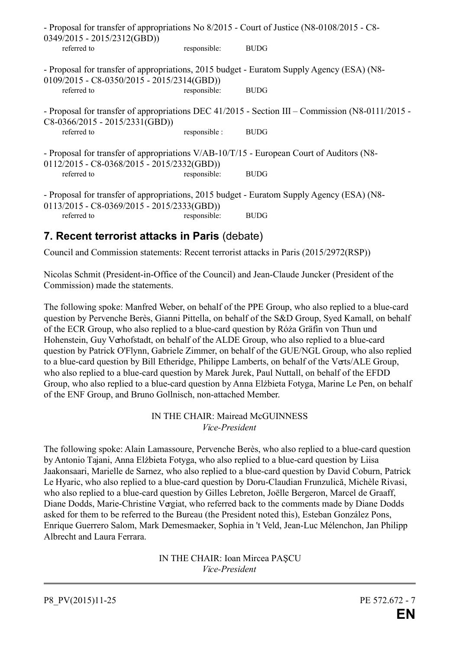| $0349/2015 - 2015/2312(GBD))$                  |               | - Proposal for transfer of appropriations No 8/2015 - Court of Justice (N8-0108/2015 - C8-       |
|------------------------------------------------|---------------|--------------------------------------------------------------------------------------------------|
| referred to                                    | responsible:  | <b>BUDG</b>                                                                                      |
| $0109/2015 - C8 - 0350/2015 - 2015/2314(GBD))$ |               | - Proposal for transfer of appropriations, 2015 budget - Euratom Supply Agency (ESA) (N8-        |
| referred to                                    | responsible:  | <b>BUDG</b>                                                                                      |
| $C8-0366/2015 - 2015/2331(GBD))$               |               | - Proposal for transfer of appropriations DEC 41/2015 - Section III – Commission (N8-0111/2015 - |
| referred to                                    | responsible : | <b>BUDG</b>                                                                                      |
| $0112/2015 - C8 - 0368/2015 - 2015/2332(GBD))$ |               | - Proposal for transfer of appropriations V/AB-10/T/15 - European Court of Auditors (N8-         |
| referred to                                    | responsible:  | <b>BUDG</b>                                                                                      |
| $0113/2015 - C8 - 0369/2015 - 2015/2333(GBD))$ |               | - Proposal for transfer of appropriations, 2015 budget - Euratom Supply Agency (ESA) (N8-        |
| referred to                                    | responsible:  | <b>BUDG</b>                                                                                      |

## **7. Recent terrorist attacks in Paris** (debate)

Council and Commission statements: Recent terrorist attacks in Paris (2015/2972(RSP))

Nicolas Schmit (President-in-Office of the Council) and Jean-Claude Juncker (President of the Commission) made the statements.

The following spoke: Manfred Weber, on behalf of the PPE Group, who also replied to a blue-card question by Pervenche Berès, Gianni Pittella, on behalf of the S&D Group, Syed Kamall, on behalf of the ECR Group, who also replied to a blue-card question by Róża Gräfin von Thun und Hohenstein, Guy Verhofstadt, on behalf of the ALDE Group, who also replied to a blue-card question by Patrick O'Flynn, Gabriele Zimmer, on behalf of the GUE/NGL Group, who also replied to a blue-card question by Bill Etheridge, Philippe Lamberts, on behalf of the Verts/ALE Group, who also replied to a blue-card question by Marek Jurek, Paul Nuttall, on behalf of the EFDD Group, who also replied to a blue-card question by Anna Elżbieta Fotyga, Marine Le Pen, on behalf of the ENF Group, and Bruno Gollnisch, non-attached Member.

#### IN THE CHAIR: Mairead McGUINNESS *Vice-President*

The following spoke: Alain Lamassoure, Pervenche Berès, who also replied to a blue-card question by Antonio Tajani, Anna Elżbieta Fotyga, who also replied to a blue-card question by Liisa Jaakonsaari, Marielle de Sarnez, who also replied to a blue-card question by David Coburn, Patrick Le Hyaric, who also replied to a blue-card question by Doru-Claudian Frunzulică, Michèle Rivasi, who also replied to a blue-card question by Gilles Lebreton, Joëlle Bergeron, Marcel de Graaff, Diane Dodds, Marie-Christine Vergiat, who referred back to the comments made by Diane Dodds asked for them to be referred to the Bureau (the President noted this), Esteban González Pons, Enrique Guerrero Salom, Mark Demesmaeker, Sophia in 't Veld, Jean-Luc Mélenchon, Jan Philipp Albrecht and Laura Ferrara.

> IN THE CHAIR: Ioan Mircea PAŞCU *Vice-President*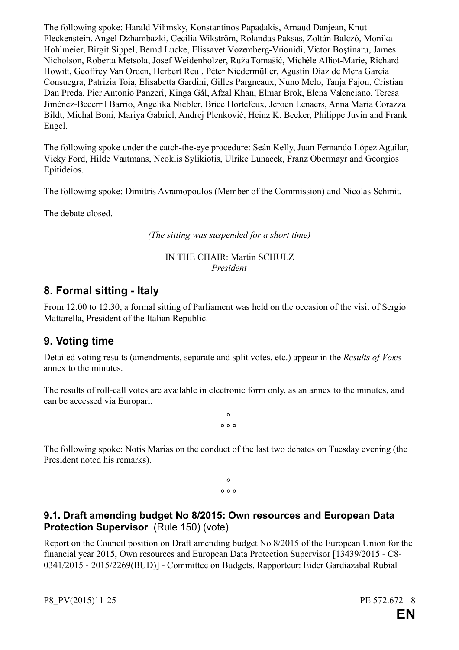The following spoke: Harald Vilimsky, Konstantinos Papadakis, Arnaud Danjean, Knut Fleckenstein, Angel Dzhambazki, Cecilia Wikström, Rolandas Paksas, Zoltán Balczó, Monika Hohlmeier, Birgit Sippel, Bernd Lucke, Elissavet Vozemberg-Vrionidi, Victor Boştinaru, James Nicholson, Roberta Metsola, Josef Weidenholzer, Ruža Tomašić, Michèle Alliot-Marie, Richard Howitt, Geoffrey Van Orden, Herbert Reul, Péter Niedermüller, Agustín Díaz de Mera García Consuegra, Patrizia Toia, Elisabetta Gardini, Gilles Pargneaux, Nuno Melo, Tanja Fajon, Cristian Dan Preda, Pier Antonio Panzeri, Kinga Gál, Afzal Khan, Elmar Brok, Elena Valenciano, Teresa Jiménez-Becerril Barrio, Angelika Niebler, Brice Hortefeux, Jeroen Lenaers, Anna Maria Corazza Bildt, Michał Boni, Mariya Gabriel, Andrej Plenković, Heinz K. Becker, Philippe Juvin and Frank Engel.

The following spoke under the catch-the-eye procedure: Seán Kelly, Juan Fernando López Aguilar, Vicky Ford, Hilde Vautmans, Neoklis Sylikiotis, Ulrike Lunacek, Franz Obermayr and Georgios Epitideios.

The following spoke: Dimitris Avramopoulos (Member of the Commission) and Nicolas Schmit.

The debate closed.

*(The sitting was suspended for a short time)*

#### IN THE CHAIR: Martin SCHULZ *President*

## **8. Formal sitting - Italy**

From 12.00 to 12.30, a formal sitting of Parliament was held on the occasion of the visit of Sergio Mattarella, President of the Italian Republic.

## **9. Voting time**

Detailed voting results (amendments, separate and split votes, etc.) appear in the *Results of Votes* annex to the minutes.

The results of roll-call votes are available in electronic form only, as an annex to the minutes, and can be accessed via Europarl.

> **° ° ° °**

The following spoke: Notis Marias on the conduct of the last two debates on Tuesday evening (the President noted his remarks).

> **° ° ° °**

## **9.1. Draft amending budget No 8/2015: Own resources and European Data Protection Supervisor** (Rule 150) (vote)

Report on the Council position on Draft amending budget No 8/2015 of the European Union for the financial year 2015, Own resources and European Data Protection Supervisor [13439/2015 - C8- 0341/2015 - 2015/2269(BUD)] - Committee on Budgets. Rapporteur: Eider Gardiazabal Rubial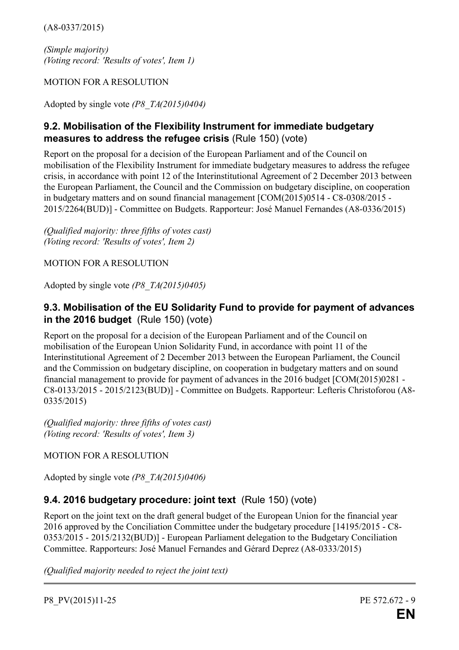(A8-0337/2015)

*(Simple majority) (Voting record: 'Results of votes', Item 1)* 

MOTION FOR A RESOLUTION

Adopted by single vote *(P8\_TA(2015)0404)*

## **9.2. Mobilisation of the Flexibility Instrument for immediate budgetary measures to address the refugee crisis** (Rule 150) (vote)

Report on the proposal for a decision of the European Parliament and of the Council on mobilisation of the Flexibility Instrument for immediate budgetary measures to address the refugee crisis, in accordance with point 12 of the Interinstitutional Agreement of 2 December 2013 between the European Parliament, the Council and the Commission on budgetary discipline, on cooperation in budgetary matters and on sound financial management [COM(2015)0514 - C8-0308/2015 - 2015/2264(BUD)] - Committee on Budgets. Rapporteur: José Manuel Fernandes (A8-0336/2015)

*(Qualified majority: three fifths of votes cast) (Voting record: 'Results of votes', Item 2)* 

MOTION FOR A RESOLUTION

Adopted by single vote *(P8\_TA(2015)0405)*

## **9.3. Mobilisation of the EU Solidarity Fund to provide for payment of advances in the 2016 budget** (Rule 150) (vote)

Report on the proposal for a decision of the European Parliament and of the Council on mobilisation of the European Union Solidarity Fund, in accordance with point 11 of the Interinstitutional Agreement of 2 December 2013 between the European Parliament, the Council and the Commission on budgetary discipline, on cooperation in budgetary matters and on sound financial management to provide for payment of advances in the 2016 budget [COM(2015)0281 - C8-0133/2015 - 2015/2123(BUD)] - Committee on Budgets. Rapporteur: Lefteris Christoforou (A8- 0335/2015)

*(Qualified majority: three fifths of votes cast) (Voting record: 'Results of votes', Item 3)* 

## MOTION FOR A RESOLUTION

Adopted by single vote *(P8\_TA(2015)0406)*

## **9.4. 2016 budgetary procedure: joint text** (Rule 150) (vote)

Report on the joint text on the draft general budget of the European Union for the financial year 2016 approved by the Conciliation Committee under the budgetary procedure [14195/2015 - C8- 0353/2015 - 2015/2132(BUD)] - European Parliament delegation to the Budgetary Conciliation Committee. Rapporteurs: José Manuel Fernandes and Gérard Deprez (A8-0333/2015)

*(Qualified majority needed to reject the joint text)*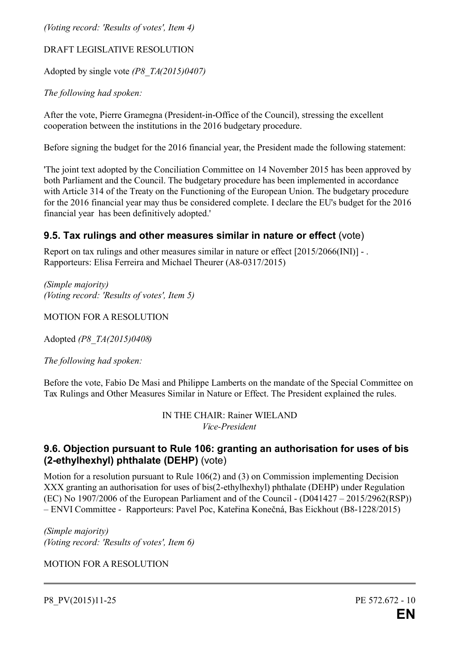*(Voting record: 'Results of votes', Item 4)* 

#### DRAFT LEGISLATIVE RESOLUTION

Adopted by single vote *(P8\_TA(2015)0407)*

*The following had spoken:*

After the vote, Pierre Gramegna (President-in-Office of the Council), stressing the excellent cooperation between the institutions in the 2016 budgetary procedure.

Before signing the budget for the 2016 financial year, the President made the following statement:

'The joint text adopted by the Conciliation Committee on 14 November 2015 has been approved by both Parliament and the Council. The budgetary procedure has been implemented in accordance with Article 314 of the Treaty on the Functioning of the European Union. The budgetary procedure for the 2016 financial year may thus be considered complete. I declare the EU's budget for the 2016 financial year has been definitively adopted.'

## **9.5. Tax rulings and other measures similar in nature or effect** (vote)

Report on tax rulings and other measures similar in nature or effect [2015/2066(INI)] - . Rapporteurs: Elisa Ferreira and Michael Theurer (A8-0317/2015)

*(Simple majority) (Voting record: 'Results of votes', Item 5)*

MOTION FOR A RESOLUTION

Adopted *(P8\_TA(2015)0408)*

*The following had spoken:*

Before the vote, Fabio De Masi and Philippe Lamberts on the mandate of the Special Committee on Tax Rulings and Other Measures Similar in Nature or Effect. The President explained the rules.

> IN THE CHAIR: Rainer WIELAND *Vice-President*

## **9.6. Objection pursuant to Rule 106: granting an authorisation for uses of bis (2-ethylhexhyl) phthalate (DEHP)** (vote)

Motion for a resolution pursuant to Rule 106(2) and (3) on Commission implementing Decision XXX granting an authorisation for uses of bis(2-ethylhexhyl) phthalate (DEHP) under Regulation (EC) No 1907/2006 of the European Parliament and of the Council - (D041427 – 2015/2962(RSP)) – ENVI Committee - Rapporteurs: Pavel Poc, Kateřina Konečná, Bas Eickhout (B8-1228/2015)

*(Simple majority) (Voting record: 'Results of votes', Item 6)*

MOTION FOR A RESOLUTION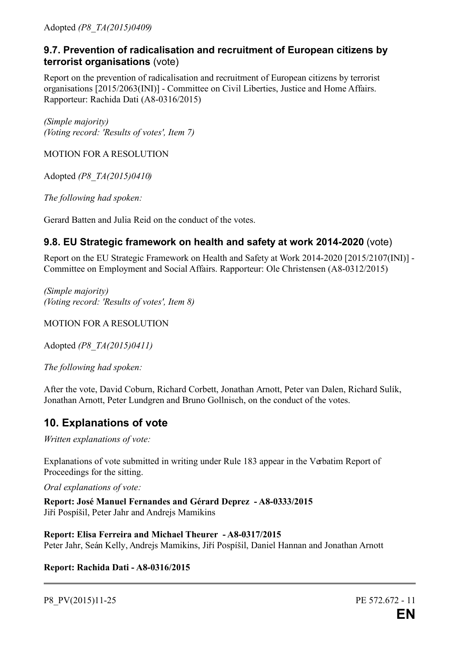Adopted *(P8\_TA(2015)0409)*

## **9.7. Prevention of radicalisation and recruitment of European citizens by terrorist organisations** (vote)

Report on the prevention of radicalisation and recruitment of European citizens by terrorist organisations [2015/2063(INI)] - Committee on Civil Liberties, Justice and Home Affairs. Rapporteur: Rachida Dati (A8-0316/2015)

*(Simple majority) (Voting record: 'Results of votes', Item 7)*

MOTION FOR A RESOLUTION

Adopted *(P8\_TA(2015)0410)*

*The following had spoken:*

Gerard Batten and Julia Reid on the conduct of the votes.

## **9.8. EU Strategic framework on health and safety at work 2014-2020** (vote)

Report on the EU Strategic Framework on Health and Safety at Work 2014-2020 [2015/2107(INI)] - Committee on Employment and Social Affairs. Rapporteur: Ole Christensen (A8-0312/2015)

*(Simple majority) (Voting record: 'Results of votes', Item 8)*

MOTION FOR A RESOLUTION

Adopted *(P8\_TA(2015)0411)*

*The following had spoken:*

After the vote, David Coburn, Richard Corbett, Jonathan Arnott, Peter van Dalen, Richard Sulík, Jonathan Arnott, Peter Lundgren and Bruno Gollnisch, on the conduct of the votes.

## **10. Explanations of vote**

*Written explanations of vote:*

Explanations of vote submitted in writing under Rule 183 appear in the Verbatim Report of Proceedings for the sitting.

*Oral explanations of vote:*

**Report: José Manuel Fernandes and Gérard Deprez - A8-0333/2015** Jiří Pospíšil, Peter Jahr and Andrejs Mamikins

**Report: Elisa Ferreira and Michael Theurer - A8-0317/2015** Peter Jahr, Seán Kelly, Andrejs Mamikins, Jiří Pospíšil, Daniel Hannan and Jonathan Arnott

**Report: Rachida Dati - A8-0316/2015**

P8 PV(2015)11-25 PE 572.672 - 11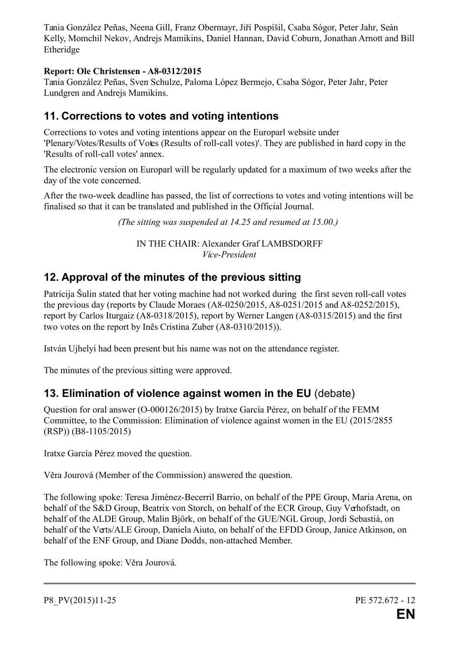Tania González Peñas, Neena Gill, Franz Obermayr, Jiří Pospíšil, Csaba Sógor, Peter Jahr, Seán Kelly, Momchil Nekov, Andrejs Mamikins, Daniel Hannan, David Coburn, Jonathan Arnott and Bill Etheridge

#### **Report: Ole Christensen - A8-0312/2015**

Tania González Peñas, Sven Schulze, Paloma López Bermejo, Csaba Sógor, Peter Jahr, Peter Lundgren and Andrejs Mamikins.

## **11. Corrections to votes and voting intentions**

Corrections to votes and voting intentions appear on the Europarl website under 'Plenary/Votes/Results of Votes (Results of roll-call votes)'. They are published in hard copy in the 'Results of roll-call votes' annex.

The electronic version on Europarl will be regularly updated for a maximum of two weeks after the day of the vote concerned.

After the two-week deadline has passed, the list of corrections to votes and voting intentions will be finalised so that it can be translated and published in the Official Journal.

*(The sitting was suspended at 14.25 and resumed at 15.00.)* 

IN THE CHAIR: Alexander Graf LAMBSDORFF *Vice-President*

## **12. Approval of the minutes of the previous sitting**

Patricija Šulin stated that her voting machine had not worked during the first seven roll-call votes the previous day (reports by Claude Moraes (A8-0250/2015, A8-0251/2015 and A8-0252/2015), report by Carlos Iturgaiz (A8-0318/2015), report by Werner Langen (A8-0315/2015) and the first two votes on the report by Inês Cristina Zuber (A8-0310/2015)).

István Ujhelyi had been present but his name was not on the attendance register.

The minutes of the previous sitting were approved.

## **13. Elimination of violence against women in the EU** (debate)

Question for oral answer (O-000126/2015) by Iratxe García Pérez, on behalf of the FEMM Committee, to the Commission: Elimination of violence against women in the EU (2015/2855 (RSP)) (B8-1105/2015)

Iratxe García Pérez moved the question.

Věra Jourová (Member of the Commission) answered the question.

The following spoke: Teresa Jiménez-Becerril Barrio, on behalf of the PPE Group, Maria Arena, on behalf of the S&D Group, Beatrix von Storch, on behalf of the ECR Group, Guy Verhofstadt, on behalf of the ALDE Group, Malin Björk, on behalf of the GUE/NGL Group, Jordi Sebastià, on behalf of the Verts/ALE Group, Daniela Aiuto, on behalf of the EFDD Group, Janice Atkinson, on behalf of the ENF Group, and Diane Dodds, non-attached Member.

The following spoke: Věra Jourová.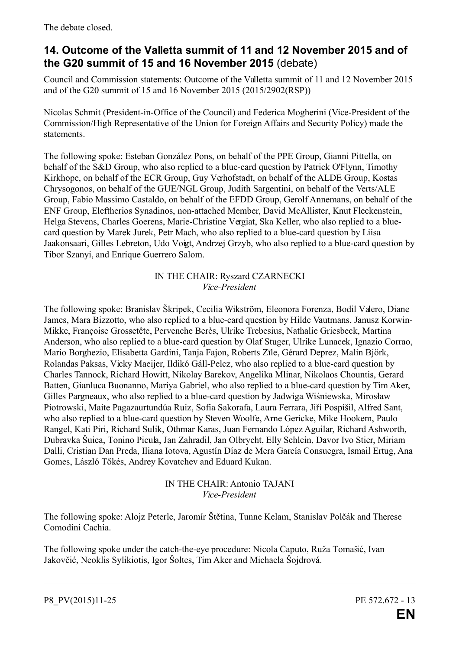The debate closed.

# **14. Outcome of the Valletta summit of 11 and 12 November 2015 and of the G20 summit of 15 and 16 November 2015** (debate)

Council and Commission statements: Outcome of the Valletta summit of 11 and 12 November 2015 and of the G20 summit of 15 and 16 November 2015 (2015/2902(RSP))

Nicolas Schmit (President-in-Office of the Council) and Federica Mogherini (Vice-President of the Commission/High Representative of the Union for Foreign Affairs and Security Policy) made the statements.

The following spoke: Esteban González Pons, on behalf of the PPE Group, Gianni Pittella, on behalf of the S&D Group, who also replied to a blue-card question by Patrick O'Flynn, Timothy Kirkhope, on behalf of the ECR Group, Guy Verhofstadt, on behalf of the ALDE Group, Kostas Chrysogonos, on behalf of the GUE/NGL Group, Judith Sargentini, on behalf of the Verts/ALE Group, Fabio Massimo Castaldo, on behalf of the EFDD Group, Gerolf Annemans, on behalf of the ENF Group, Eleftherios Synadinos, non-attached Member, David McAllister, Knut Fleckenstein, Helga Stevens, Charles Goerens, Marie-Christine Vergiat, Ska Keller, who also replied to a bluecard question by Marek Jurek, Petr Mach, who also replied to a blue-card question by Liisa Jaakonsaari, Gilles Lebreton, Udo Voigt, Andrzej Grzyb, who also replied to a blue-card question by Tibor Szanyi, and Enrique Guerrero Salom.

#### IN THE CHAIR: Ryszard CZARNECKI *Vice-President*

The following spoke: Branislav Škripek, Cecilia Wikström, Eleonora Forenza, Bodil Valero, Diane James, Mara Bizzotto, who also replied to a blue-card question by Hilde Vautmans, Janusz Korwin-Mikke, Françoise Grossetête, Pervenche Berès, Ulrike Trebesius, Nathalie Griesbeck, Martina Anderson, who also replied to a blue-card question by Olaf Stuger, Ulrike Lunacek, Ignazio Corrao, Mario Borghezio, Elisabetta Gardini, Tanja Fajon, Roberts Zīle, Gérard Deprez, Malin Björk, Rolandas Paksas, Vicky Maeijer, Ildikó Gáll-Pelcz, who also replied to a blue-card question by Charles Tannock, Richard Howitt, Nikolay Barekov, Angelika Mlinar, Nikolaos Chountis, Gerard Batten, Gianluca Buonanno, Mariya Gabriel, who also replied to a blue-card question by Tim Aker, Gilles Pargneaux, who also replied to a blue-card question by Jadwiga Wiśniewska, Mirosław Piotrowski, Maite Pagazaurtundúa Ruiz, Sofia Sakorafa, Laura Ferrara, Jiří Pospíšil, Alfred Sant, who also replied to a blue-card question by Steven Woolfe, Arne Gericke, Mike Hookem, Paulo Rangel, Kati Piri, Richard Sulík, Othmar Karas, Juan Fernando López Aguilar, Richard Ashworth, Dubravka Šuica, Tonino Picula, Jan Zahradil, Jan Olbrycht, Elly Schlein, Davor Ivo Stier, Miriam Dalli, Cristian Dan Preda, Iliana Iotova, Agustín Díaz de Mera García Consuegra, Ismail Ertug, Ana Gomes, László Tőkés, Andrey Kovatchev and Eduard Kukan.

#### IN THE CHAIR: Antonio TAJANI *Vice-President*

The following spoke: Alojz Peterle, Jaromír Štětina, Tunne Kelam, Stanislav Polčák and Therese Comodini Cachia.

The following spoke under the catch-the-eye procedure: Nicola Caputo, Ruža Tomašić, Ivan Jakovčić, Neoklis Sylikiotis, Igor Šoltes, Tim Aker and Michaela Šojdrová.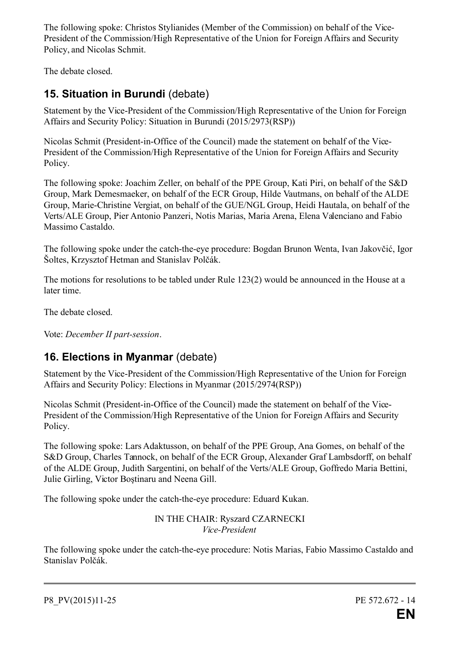The following spoke: Christos Stylianides (Member of the Commission) on behalf of the Vice-President of the Commission/High Representative of the Union for Foreign Affairs and Security Policy, and Nicolas Schmit.

The debate closed.

# **15. Situation in Burundi** (debate)

Statement by the Vice-President of the Commission/High Representative of the Union for Foreign Affairs and Security Policy: Situation in Burundi (2015/2973(RSP))

Nicolas Schmit (President-in-Office of the Council) made the statement on behalf of the Vice-President of the Commission/High Representative of the Union for Foreign Affairs and Security Policy.

The following spoke: Joachim Zeller, on behalf of the PPE Group, Kati Piri, on behalf of the S&D Group, Mark Demesmaeker, on behalf of the ECR Group, Hilde Vautmans, on behalf of the ALDE Group, Marie-Christine Vergiat, on behalf of the GUE/NGL Group, Heidi Hautala, on behalf of the Verts/ALE Group, Pier Antonio Panzeri, Notis Marias, Maria Arena, Elena Valenciano and Fabio Massimo Castaldo.

The following spoke under the catch-the-eye procedure: Bogdan Brunon Wenta, Ivan Jakovčić, Igor Šoltes, Krzysztof Hetman and Stanislav Polčák.

The motions for resolutions to be tabled under Rule 123(2) would be announced in the House at a later time.

The debate closed.

Vote: *December II part-session*.

## **16. Elections in Myanmar** (debate)

Statement by the Vice-President of the Commission/High Representative of the Union for Foreign Affairs and Security Policy: Elections in Myanmar (2015/2974(RSP))

Nicolas Schmit (President-in-Office of the Council) made the statement on behalf of the Vice-President of the Commission/High Representative of the Union for Foreign Affairs and Security Policy.

The following spoke: Lars Adaktusson, on behalf of the PPE Group, Ana Gomes, on behalf of the S&D Group, Charles Tannock, on behalf of the ECR Group, Alexander Graf Lambsdorff, on behalf of the ALDE Group, Judith Sargentini, on behalf of the Verts/ALE Group, Goffredo Maria Bettini, Julie Girling, Victor Boştinaru and Neena Gill.

The following spoke under the catch-the-eye procedure: Eduard Kukan.

IN THE CHAIR: Ryszard CZARNECKI *Vice-President*

The following spoke under the catch-the-eye procedure: Notis Marias, Fabio Massimo Castaldo and Stanislav Polčák.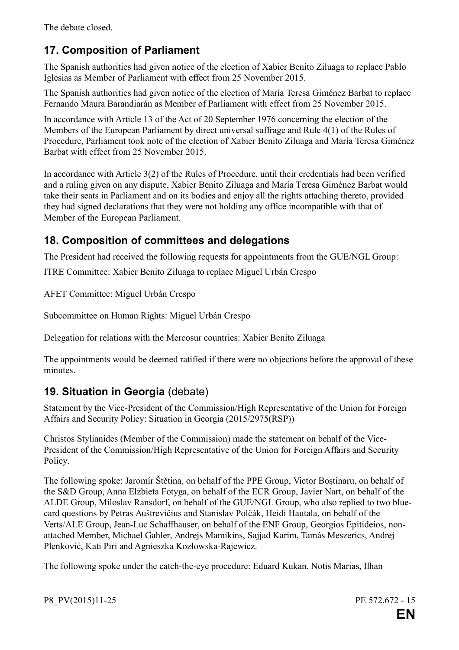The debate closed.

# **17. Composition of Parliament**

The Spanish authorities had given notice of the election of Xabier Benito Ziluaga to replace Pablo Iglesias as Member of Parliament with effect from 25 November 2015.

The Spanish authorities had given notice of the election of María Teresa Giménez Barbat to replace Fernando Maura Barandiarán as Member of Parliament with effect from 25 November 2015.

In accordance with Article 13 of the Act of 20 September 1976 concerning the election of the Members of the European Parliament by direct universal suffrage and Rule 4(1) of the Rules of Procedure, Parliament took note of the election of Xabier Benito Ziluaga and María Teresa Giménez Barbat with effect from 25 November 2015.

In accordance with Article 3(2) of the Rules of Procedure, until their credentials had been verified and a ruling given on any dispute, Xabier Benito Ziluaga and María Teresa Giménez Barbat would take their seats in Parliament and on its bodies and enjoy all the rights attaching thereto, provided they had signed declarations that they were not holding any office incompatible with that of Member of the European Parliament.

# **18. Composition of committees and delegations**

The President had received the following requests for appointments from the GUE/NGL Group:

ITRE Committee: Xabier Benito Ziluaga to replace Miguel Urbán Crespo

AFET Committee: Miguel Urbán Crespo

Subcommittee on Human Rights: Miguel Urbán Crespo

Delegation for relations with the Mercosur countries: Xabier Benito Ziluaga

The appointments would be deemed ratified if there were no objections before the approval of these minutes.

# **19. Situation in Georgia** (debate)

Statement by the Vice-President of the Commission/High Representative of the Union for Foreign Affairs and Security Policy: Situation in Georgia (2015/2975(RSP))

Christos Stylianides (Member of the Commission) made the statement on behalf of the Vice-President of the Commission/High Representative of the Union for Foreign Affairs and Security Policy.

The following spoke: Jaromír Štětina, on behalf of the PPE Group, Victor Boştinaru, on behalf of the S&D Group, Anna Elżbieta Fotyga, on behalf of the ECR Group, Javier Nart, on behalf of the ALDE Group, Miloslav Ransdorf, on behalf of the GUE/NGL Group, who also replied to two bluecard questions by Petras Auštrevičius and Stanislav Polčák, Heidi Hautala, on behalf of the Verts/ALE Group, Jean-Luc Schaffhauser, on behalf of the ENF Group, Georgios Epitideios, nonattached Member, Michael Gahler, Andrejs Mamikins, Sajjad Karim, Tamás Meszerics, Andrej Plenković, Kati Piri and Agnieszka Kozłowska-Rajewicz.

The following spoke under the catch-the-eye procedure: Eduard Kukan, Notis Marias, Ilhan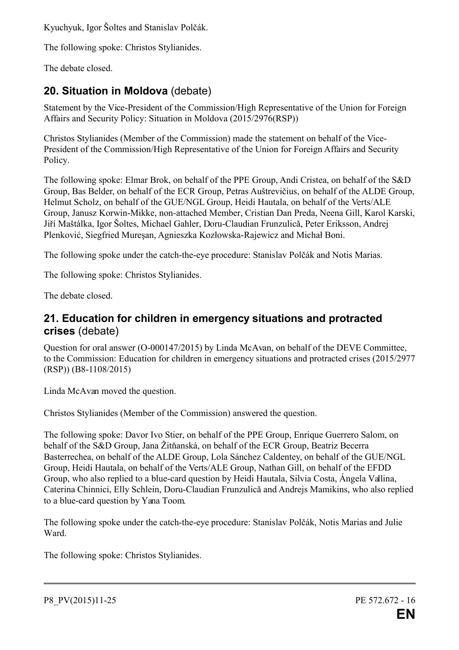Kyuchyuk, Igor Šoltes and Stanislav Polčák.

The following spoke: Christos Stylianides.

The debate closed.

# **20. Situation in Moldova** (debate)

Statement by the Vice-President of the Commission/High Representative of the Union for Foreign Affairs and Security Policy: Situation in Moldova (2015/2976(RSP))

Christos Stylianides (Member of the Commission) made the statement on behalf of the Vice-President of the Commission/High Representative of the Union for Foreign Affairs and Security Policy.

The following spoke: Elmar Brok, on behalf of the PPE Group, Andi Cristea, on behalf of the S&D Group, Bas Belder, on behalf of the ECR Group, Petras Auštrevičius, on behalf of the ALDE Group, Helmut Scholz, on behalf of the GUE/NGL Group, Heidi Hautala, on behalf of the Verts/ALE Group, Janusz Korwin-Mikke, non-attached Member, Cristian Dan Preda, Neena Gill, Karol Karski, Jiří Maštálka, Igor Šoltes, Michael Gahler, Doru-Claudian Frunzulică, Peter Eriksson, Andrej Plenković, Siegfried Mureşan, Agnieszka Kozłowska-Rajewicz and Michał Boni.

The following spoke under the catch-the-eye procedure: Stanislav Polčák and Notis Marias.

The following spoke: Christos Stylianides.

The debate closed.

## **21. Education for children in emergency situations and protracted crises** (debate)

Question for oral answer (O-000147/2015) by Linda McAvan, on behalf of the DEVE Committee, to the Commission: Education for children in emergency situations and protracted crises (2015/2977 (RSP)) (B8-1108/2015)

Linda McAvan moved the question.

Christos Stylianides (Member of the Commission) answered the question.

The following spoke: Davor Ivo Stier, on behalf of the PPE Group, Enrique Guerrero Salom, on behalf of the S&D Group, Jana Žitňanská, on behalf of the ECR Group, Beatriz Becerra Basterrechea, on behalf of the ALDE Group, Lola Sánchez Caldentey, on behalf of the GUE/NGL Group, Heidi Hautala, on behalf of the Verts/ALE Group, Nathan Gill, on behalf of the EFDD Group, who also replied to a blue-card question by Heidi Hautala, Silvia Costa, Ángela Vallina, Caterina Chinnici, Elly Schlein, Doru-Claudian Frunzulică and Andrejs Mamikins, who also replied to a blue-card question by Yana Toom.

The following spoke under the catch-the-eye procedure: Stanislav Polčák, Notis Marias and Julie Ward.

The following spoke: Christos Stylianides.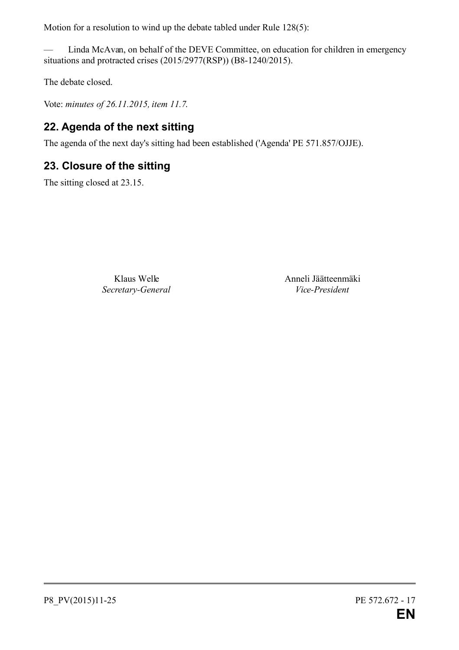Motion for a resolution to wind up the debate tabled under Rule 128(5):

— Linda McAvan, on behalf of the DEVE Committee, on education for children in emergency situations and protracted crises (2015/2977(RSP)) (B8-1240/2015).

The debate closed.

Vote: *minutes of 26.11.2015, item 11.7*.

# **22. Agenda of the next sitting**

The agenda of the next day's sitting had been established ('Agenda' PE 571.857/OJJE).

## **23. Closure of the sitting**

The sitting closed at 23.15.

*Secretary-General Vice-President*

Klaus Welle **Anneli Jäätteenmäki**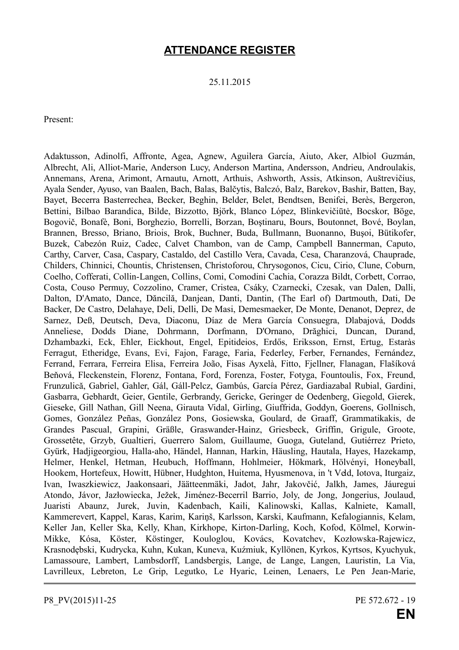## **ATTENDANCE REGISTER**

25.11.2015

Present:

Adaktusson, Adinolfi, Affronte, Agea, Agnew, Aguilera García, Aiuto, Aker, Albiol Guzmán, Albrecht, Ali, Alliot-Marie, Anderson Lucy, Anderson Martina, Andersson, Andrieu, Androulakis, Annemans, Arena, Arimont, Arnautu, Arnott, Arthuis, Ashworth, Assis, Atkinson, Auštrevičius, Ayala Sender, Ayuso, van Baalen, Bach, Balas, Balčytis, Balczó, Balz, Barekov, Bashir, Batten, Bay, Bayet, Becerra Basterrechea, Becker, Beghin, Belder, Belet, Bendtsen, Benifei, Berès, Bergeron, Bettini, Bilbao Barandica, Bilde, Bizzotto, Björk, Blanco López, Blinkevičiūtė, Bocskor, Böge, Bogovič, Bonafè, Boni, Borghezio, Borrelli, Borzan, Boştinaru, Bours, Boutonnet, Bové, Boylan, Brannen, Bresso, Briano, Briois, Brok, Buchner, Buda, Bullmann, Buonanno, Buşoi, Bütikofer, Buzek, Cabezón Ruiz, Cadec, Calvet Chambon, van de Camp, Campbell Bannerman, Caputo, Carthy, Carver, Casa, Caspary, Castaldo, del Castillo Vera, Cavada, Cesa, Charanzová, Chauprade, Childers, Chinnici, Chountis, Christensen, Christoforou, Chrysogonos, Cicu, Cirio, Clune, Coburn, Coelho, Cofferati, Collin-Langen, Collins, Comi, Comodini Cachia, Corazza Bildt, Corbett, Corrao, Costa, Couso Permuy, Cozzolino, Cramer, Cristea, Csáky, Czarnecki, Czesak, van Dalen, Dalli, Dalton, D'Amato, Dance, Dăncilă, Danjean, Danti, Dantin, (The Earl of) Dartmouth, Dati, De Backer, De Castro, Delahaye, Deli, Delli, De Masi, Demesmaeker, De Monte, Denanot, Deprez, de Sarnez, Deß, Deutsch, Deva, Diaconu, Díaz de Mera García Consuegra, Dlabajová, Dodds Anneliese, Dodds Diane, Dohrmann, Dorfmann, D'Ornano, Drăghici, Duncan, Durand, Dzhambazki, Eck, Ehler, Eickhout, Engel, Epitideios, Erdős, Eriksson, Ernst, Ertug, Estaràs Ferragut, Etheridge, Evans, Evi, Fajon, Farage, Faria, Federley, Ferber, Fernandes, Fernández, Ferrand, Ferrara, Ferreira Elisa, Ferreira João, Fisas Ayxelà, Fitto, Fjellner, Flanagan, Flašíková Beňová, Fleckenstein, Florenz, Fontana, Ford, Forenza, Foster, Fotyga, Fountoulis, Fox, Freund, Frunzulică, Gabriel, Gahler, Gál, Gáll-Pelcz, Gambús, García Pérez, Gardiazabal Rubial, Gardini, Gasbarra, Gebhardt, Geier, Gentile, Gerbrandy, Gericke, Geringer de Oedenberg, Giegold, Gierek, Gieseke, Gill Nathan, Gill Neena, Girauta Vidal, Girling, Giuffrida, Goddyn, Goerens, Gollnisch, Gomes, González Peñas, González Pons, Gosiewska, Goulard, de Graaff, Grammatikakis, de Grandes Pascual, Grapini, Gräßle, Graswander-Hainz, Griesbeck, Griffin, Grigule, Groote, Grossetête, Grzyb, Gualtieri, Guerrero Salom, Guillaume, Guoga, Guteland, Gutiérrez Prieto, Gyürk, Hadjigeorgiou, Halla-aho, Händel, Hannan, Harkin, Häusling, Hautala, Hayes, Hazekamp, Helmer, Henkel, Hetman, Heubuch, Hoffmann, Hohlmeier, Hökmark, Hölvényi, Honeyball, Hookem, Hortefeux, Howitt, Hübner, Hudghton, Huitema, Hyusmenova, in 't Veld, Iotova, Iturgaiz, Ivan, Iwaszkiewicz, Jaakonsaari, Jäätteenmäki, Jadot, Jahr, Jakovčić, Jalkh, James, Jáuregui Atondo, Jávor, Jazłowiecka, Ježek, Jiménez-Becerril Barrio, Joly, de Jong, Jongerius, Joulaud, Juaristi Abaunz, Jurek, Juvin, Kadenbach, Kaili, Kalinowski, Kallas, Kalniete, Kamall, Kammerevert, Kappel, Karas, Karim, Kariņš, Karlsson, Karski, Kaufmann, Kefalogiannis, Kelam, Keller Jan, Keller Ska, Kelly, Khan, Kirkhope, Kirton-Darling, Koch, Kofod, Kölmel, Korwin-Mikke, Kósa, Köster, Köstinger, Kouloglou, Kovács, Kovatchev, Kozłowska-Rajewicz, Krasnodębski, Kudrycka, Kuhn, Kukan, Kuneva, Kuźmiuk, Kyllönen, Kyrkos, Kyrtsos, Kyuchyuk, Lamassoure, Lambert, Lambsdorff, Landsbergis, Lange, de Lange, Langen, Lauristin, La Via, Lavrilleux, Lebreton, Le Grip, Legutko, Le Hyaric, Leinen, Lenaers, Le Pen Jean-Marie,